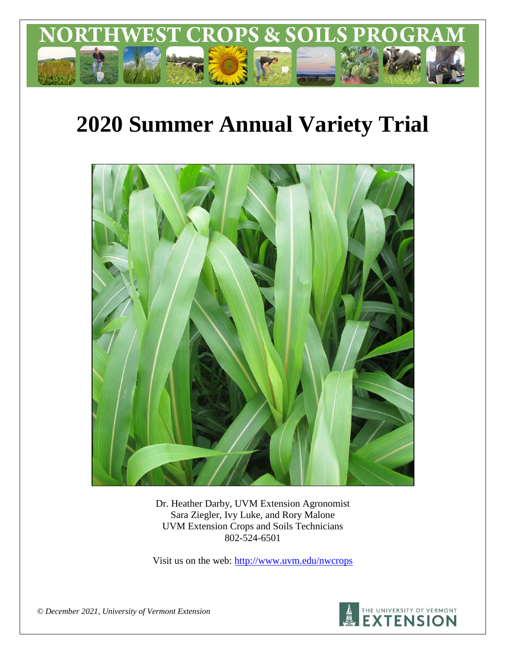

# **2020 Summer Annual Variety Trial**



Dr. Heather Darby, UVM Extension Agronomist Sara Ziegler, Ivy Luke, and Rory Malone UVM Extension Crops and Soils Technicians 802-524-6501

Visit us on the web: <http://www.uvm.edu/nwcrops>



*© December 2021, University of Vermont Extension*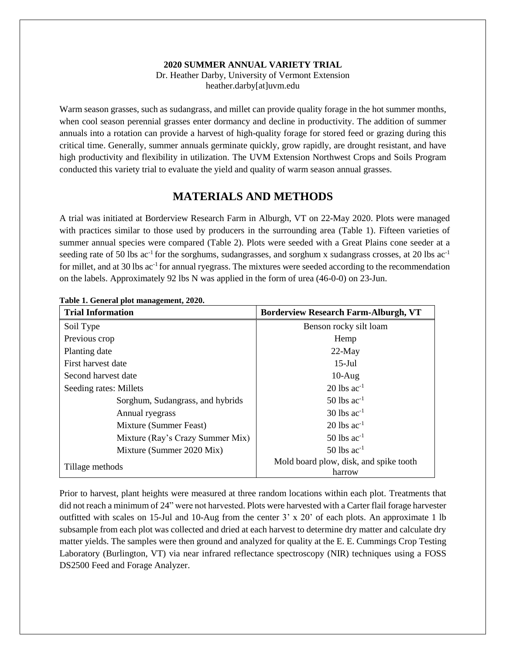#### **2020 SUMMER ANNUAL VARIETY TRIAL**

Dr. Heather Darby, University of Vermont Extension heather.darby[at]uvm.edu

Warm season grasses, such as sudangrass, and millet can provide quality forage in the hot summer months, when cool season perennial grasses enter dormancy and decline in productivity. The addition of summer annuals into a rotation can provide a harvest of high-quality forage for stored feed or grazing during this critical time. Generally, summer annuals germinate quickly, grow rapidly, are drought resistant, and have high productivity and flexibility in utilization. The UVM Extension Northwest Crops and Soils Program conducted this variety trial to evaluate the yield and quality of warm season annual grasses.

## **MATERIALS AND METHODS**

A trial was initiated at Borderview Research Farm in Alburgh, VT on 22-May 2020. Plots were managed with practices similar to those used by producers in the surrounding area (Table 1). Fifteen varieties of summer annual species were compared (Table 2). Plots were seeded with a Great Plains cone seeder at a seeding rate of 50 lbs ac<sup>-1</sup> for the sorghums, sudangrasses, and sorghum x sudangrass crosses, at 20 lbs ac<sup>-1</sup> for millet, and at 30 lbs ac<sup>-1</sup> for annual ryegrass. The mixtures were seeded according to the recommendation on the labels. Approximately 92 lbs N was applied in the form of urea (46-0-0) on 23-Jun.

| <b>Trial Information</b>         | <b>Borderview Research Farm-Alburgh, VT</b>      |  |  |  |
|----------------------------------|--------------------------------------------------|--|--|--|
| Soil Type                        | Benson rocky silt loam                           |  |  |  |
| Previous crop                    | Hemp                                             |  |  |  |
| Planting date                    | $22$ -May                                        |  |  |  |
| First harvest date               | $15$ -Jul                                        |  |  |  |
| Second harvest date              | $10-Aug$                                         |  |  |  |
| Seeding rates: Millets           | $20$ lbs ac <sup>-1</sup>                        |  |  |  |
| Sorghum, Sudangrass, and hybrids | $50$ lbs ac <sup>-1</sup>                        |  |  |  |
| Annual ryegrass                  | $30$ lbs ac <sup>-1</sup>                        |  |  |  |
| Mixture (Summer Feast)           | $20$ lbs ac <sup>-1</sup>                        |  |  |  |
| Mixture (Ray's Crazy Summer Mix) | $50$ lbs ac <sup>-1</sup>                        |  |  |  |
| Mixture (Summer 2020 Mix)        | $50$ lbs ac <sup>-1</sup>                        |  |  |  |
| Tillage methods                  | Mold board plow, disk, and spike tooth<br>harrow |  |  |  |

**Table 1. General plot management, 2020.**

Prior to harvest, plant heights were measured at three random locations within each plot. Treatments that did not reach a minimum of 24" were not harvested. Plots were harvested with a Carter flail forage harvester outfitted with scales on 15-Jul and 10-Aug from the center 3' x 20' of each plots. An approximate 1 lb subsample from each plot was collected and dried at each harvest to determine dry matter and calculate dry matter yields. The samples were then ground and analyzed for quality at the E. E. Cummings Crop Testing Laboratory (Burlington, VT) via near infrared reflectance spectroscopy (NIR) techniques using a FOSS DS2500 Feed and Forage Analyzer.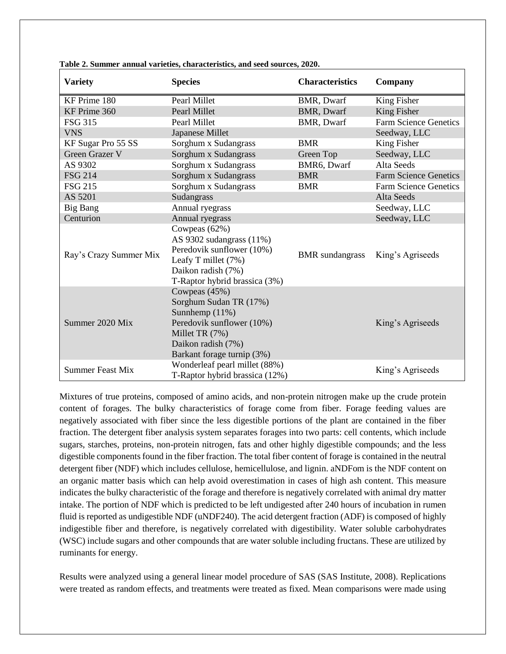| <b>Variety</b>          | <b>Species</b>                                                                                                                                               | <b>Characteristics</b> | Company                      |
|-------------------------|--------------------------------------------------------------------------------------------------------------------------------------------------------------|------------------------|------------------------------|
| KF Prime 180            | Pearl Millet                                                                                                                                                 | BMR, Dwarf             | King Fisher                  |
| KF Prime 360            | Pearl Millet                                                                                                                                                 | <b>BMR, Dwarf</b>      | King Fisher                  |
| <b>FSG 315</b>          | Pearl Millet                                                                                                                                                 | BMR, Dwarf             | <b>Farm Science Genetics</b> |
| <b>VNS</b>              | Japanese Millet                                                                                                                                              |                        | Seedway, LLC                 |
| KF Sugar Pro 55 SS      | Sorghum x Sudangrass                                                                                                                                         | <b>BMR</b>             | King Fisher                  |
| <b>Green Grazer V</b>   | Sorghum x Sudangrass                                                                                                                                         | Green Top              | Seedway, LLC                 |
| AS 9302                 | Sorghum x Sudangrass                                                                                                                                         | BMR6, Dwarf            | Alta Seeds                   |
| <b>FSG 214</b>          | Sorghum x Sudangrass                                                                                                                                         | <b>BMR</b>             | <b>Farm Science Genetics</b> |
| <b>FSG 215</b>          | Sorghum x Sudangrass                                                                                                                                         | <b>BMR</b>             | <b>Farm Science Genetics</b> |
| AS 5201                 | Sudangrass                                                                                                                                                   |                        | Alta Seeds                   |
| Big Bang                | Annual ryegrass                                                                                                                                              |                        | Seedway, LLC                 |
| Centurion               | Annual ryegrass                                                                                                                                              |                        | Seedway, LLC                 |
| Ray's Crazy Summer Mix  | Cowpeas (62%)<br>AS 9302 sudangrass (11%)<br>Peredovik sunflower (10%)<br>Leafy T millet (7%)<br>Daikon radish (7%)<br>T-Raptor hybrid brassica (3%)         | <b>BMR</b> sundangrass | King's Agriseeds             |
| Summer 2020 Mix         | Cowpeas (45%)<br>Sorghum Sudan TR (17%)<br>Sunnhemp (11%)<br>Peredovik sunflower (10%)<br>Millet TR (7%)<br>Daikon radish (7%)<br>Barkant forage turnip (3%) |                        | King's Agriseeds             |
| <b>Summer Feast Mix</b> | Wonderleaf pearl millet (88%)<br>T-Raptor hybrid brassica (12%)                                                                                              |                        | King's Agriseeds             |

**Table 2. Summer annual varieties, characteristics, and seed sources, 2020.** 

Mixtures of true proteins, composed of amino acids, and non-protein nitrogen make up the crude protein content of forages. The bulky characteristics of forage come from fiber. Forage feeding values are negatively associated with fiber since the less digestible portions of the plant are contained in the fiber fraction. The detergent fiber analysis system separates forages into two parts: cell contents, which include sugars, starches, proteins, non-protein nitrogen, fats and other highly digestible compounds; and the less digestible components found in the fiber fraction. The total fiber content of forage is contained in the neutral detergent fiber (NDF) which includes cellulose, hemicellulose, and lignin. aNDFom is the NDF content on an organic matter basis which can help avoid overestimation in cases of high ash content. This measure indicates the bulky characteristic of the forage and therefore is negatively correlated with animal dry matter intake. The portion of NDF which is predicted to be left undigested after 240 hours of incubation in rumen fluid is reported as undigestible NDF (uNDF240). The acid detergent fraction (ADF) is composed of highly indigestible fiber and therefore, is negatively correlated with digestibility. Water soluble carbohydrates (WSC) include sugars and other compounds that are water soluble including fructans. These are utilized by ruminants for energy.

Results were analyzed using a general linear model procedure of SAS (SAS Institute, 2008). Replications were treated as random effects, and treatments were treated as fixed. Mean comparisons were made using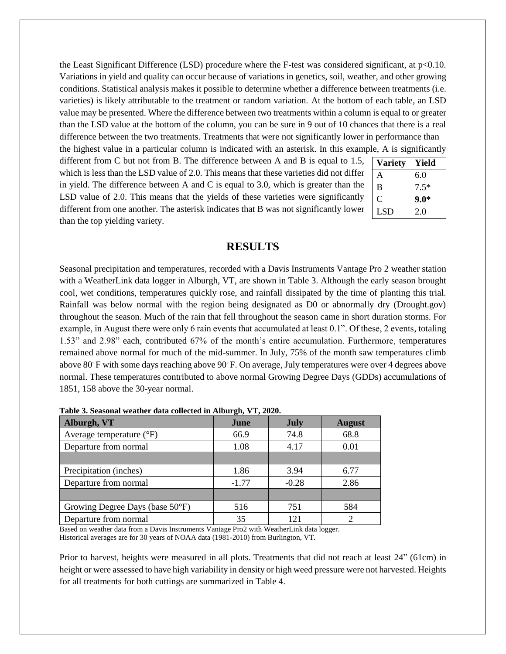the Least Significant Difference (LSD) procedure where the F-test was considered significant, at  $p<0.10$ . Variations in yield and quality can occur because of variations in genetics, soil, weather, and other growing conditions. Statistical analysis makes it possible to determine whether a difference between treatments (i.e. varieties) is likely attributable to the treatment or random variation. At the bottom of each table, an LSD value may be presented. Where the difference between two treatments within a column is equal to or greater than the LSD value at the bottom of the column, you can be sure in 9 out of 10 chances that there is a real difference between the two treatments. Treatments that were not significantly lower in performance than

the highest value in a particular column is indicated with an asterisk. In this example, A is significantly different from C but not from B. The difference between A and B is equal to 1.5, which is less than the LSD value of 2.0. This means that these varieties did not differ in yield. The difference between A and C is equal to 3.0, which is greater than the LSD value of 2.0. This means that the yields of these varieties were significantly different from one another. The asterisk indicates that B was not significantly lower than the top yielding variety.

| <b>Variety</b> | Yield  |
|----------------|--------|
| A              | 6.0    |
| B              | $7.5*$ |
| C              | $9.0*$ |
| <b>LSD</b>     | 2.0    |

#### **RESULTS**

Seasonal precipitation and temperatures, recorded with a Davis Instruments Vantage Pro 2 weather station with a WeatherLink data logger in Alburgh, VT, are shown in Table 3. Although the early season brought cool, wet conditions, temperatures quickly rose, and rainfall dissipated by the time of planting this trial. Rainfall was below normal with the region being designated as D0 or abnormally dry (Drought.gov) throughout the season. Much of the rain that fell throughout the season came in short duration storms. For example, in August there were only 6 rain events that accumulated at least 0.1". Of these, 2 events, totaling 1.53" and 2.98" each, contributed 67% of the month's entire accumulation. Furthermore, temperatures remained above normal for much of the mid-summer. In July, 75% of the month saw temperatures climb above 80◦F with some days reaching above 90◦F. On average, July temperatures were over 4 degrees above normal. These temperatures contributed to above normal Growing Degree Days (GDDs) accumulations of 1851, 158 above the 30-year normal.

| Alburgh, VT                       | June    | <b>July</b> | <b>August</b> |  |
|-----------------------------------|---------|-------------|---------------|--|
| Average temperature $(^{\circ}F)$ | 66.9    | 74.8        | 68.8          |  |
| Departure from normal             | 1.08    | 4.17        |               |  |
|                                   |         |             |               |  |
| Precipitation (inches)            | 1.86    | 3.94        | 6.77          |  |
| Departure from normal             | $-1.77$ | $-0.28$     | 2.86          |  |
|                                   |         |             |               |  |
| Growing Degree Days (base 50°F)   | 516     | 751         | 584           |  |
| Departure from normal             | 35      | 121         |               |  |

**Table 3. Seasonal weather data collected in Alburgh, VT, 2020.**

Based on weather data from a Davis Instruments Vantage Pro2 with WeatherLink data logger. Historical averages are for 30 years of NOAA data (1981-2010) from Burlington, VT.

Prior to harvest, heights were measured in all plots. Treatments that did not reach at least 24" (61cm) in height or were assessed to have high variability in density or high weed pressure were not harvested. Heights for all treatments for both cuttings are summarized in Table 4.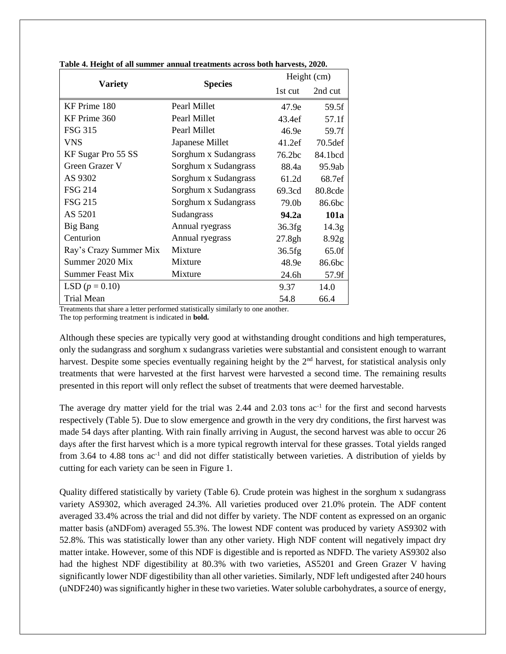|                         |                      |         | Height (cm)       |  |  |
|-------------------------|----------------------|---------|-------------------|--|--|
| <b>Variety</b>          | <b>Species</b>       | 1st cut | 2nd cut           |  |  |
| KF Prime 180            | Pearl Millet         | 47.9e   | 59.5f             |  |  |
| KF Prime 360            | Pearl Millet         | 43.4ef  | 57.1f             |  |  |
| <b>FSG 315</b>          | Pearl Millet         | 46.9e   | 59.7f             |  |  |
| VNS                     | Japanese Millet      | 41.2ef  | 70.5def           |  |  |
| KF Sugar Pro 55 SS      | Sorghum x Sudangrass | 76.2bc  | 84.1bcd           |  |  |
| Green Grazer V          | Sorghum x Sudangrass | 88.4a   | 95.9ab            |  |  |
| AS 9302                 | Sorghum x Sudangrass | 61.2d   | 68.7ef            |  |  |
| <b>FSG 214</b>          | Sorghum x Sudangrass | 69.3cd  | 80.8cde           |  |  |
| <b>FSG 215</b>          | Sorghum x Sudangrass | 79.0b   | 86.6bc            |  |  |
| AS 5201                 | Sudangrass           | 94.2a   | 101a              |  |  |
| Big Bang                | Annual ryegrass      | 36.3fg  | 14.3 <sub>g</sub> |  |  |
| Centurion               | Annual ryegrass      | 27.8gh  | 8.92 <sub>g</sub> |  |  |
| Ray's Crazy Summer Mix  | Mixture              | 36.5fg  | 65.0f             |  |  |
| Summer 2020 Mix         | Mixture              | 48.9e   | 86.6bc            |  |  |
| <b>Summer Feast Mix</b> | Mixture              | 24.6h   | 57.9f             |  |  |
| LSD $(p = 0.10)$        |                      | 9.37    | 14.0              |  |  |
| Trial Mean              |                      | 54.8    | 66.4              |  |  |

**Table 4. Height of all summer annual treatments across both harvests, 2020.**

Treatments that share a letter performed statistically similarly to one another. The top performing treatment is indicated in **bold.**

Although these species are typically very good at withstanding drought conditions and high temperatures, only the sudangrass and sorghum x sudangrass varieties were substantial and consistent enough to warrant harvest. Despite some species eventually regaining height by the  $2<sup>nd</sup>$  harvest, for statistical analysis only treatments that were harvested at the first harvest were harvested a second time. The remaining results presented in this report will only reflect the subset of treatments that were deemed harvestable.

The average dry matter yield for the trial was  $2.44$  and  $2.03$  tons  $ac^{-1}$  for the first and second harvests respectively (Table 5). Due to slow emergence and growth in the very dry conditions, the first harvest was made 54 days after planting. With rain finally arriving in August, the second harvest was able to occur 26 days after the first harvest which is a more typical regrowth interval for these grasses. Total yields ranged from 3.64 to 4.88 tons ac<sup>-1</sup> and did not differ statistically between varieties. A distribution of yields by cutting for each variety can be seen in Figure 1.

Quality differed statistically by variety (Table 6). Crude protein was highest in the sorghum x sudangrass variety AS9302, which averaged 24.3%. All varieties produced over 21.0% protein. The ADF content averaged 33.4% across the trial and did not differ by variety. The NDF content as expressed on an organic matter basis (aNDFom) averaged 55.3%. The lowest NDF content was produced by variety AS9302 with 52.8%. This was statistically lower than any other variety. High NDF content will negatively impact dry matter intake. However, some of this NDF is digestible and is reported as NDFD. The variety AS9302 also had the highest NDF digestibility at 80.3% with two varieties, AS5201 and Green Grazer V having significantly lower NDF digestibility than all other varieties. Similarly, NDF left undigested after 240 hours (uNDF240) was significantly higher in these two varieties. Water soluble carbohydrates, a source of energy,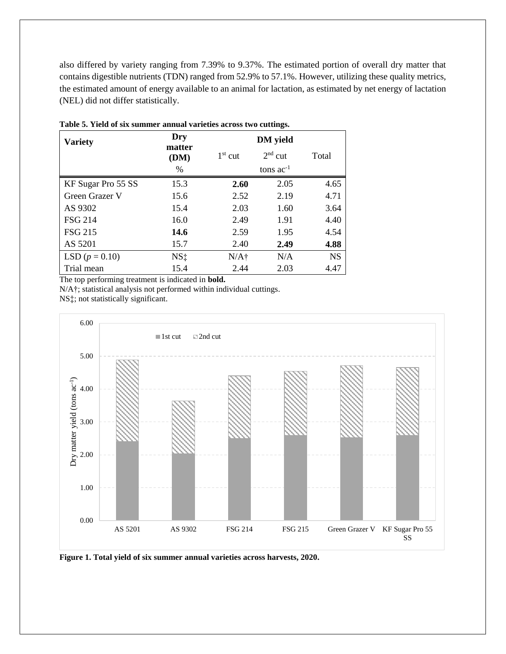also differed by variety ranging from 7.39% to 9.37%. The estimated portion of overall dry matter that contains digestible nutrients (TDN) ranged from 52.9% to 57.1%. However, utilizing these quality metrics, the estimated amount of energy available to an animal for lactation, as estimated by net energy of lactation (NEL) did not differ statistically.

| <b>Variety</b>     | Dry            | <b>DM</b> yield |                |           |  |
|--------------------|----------------|-----------------|----------------|-----------|--|
|                    | matter<br>(DM) | $1st$ cut       | $2nd$ cut      | Total     |  |
|                    | %              |                 | tons $ac^{-1}$ |           |  |
| KF Sugar Pro 55 SS | 15.3           | 2.60            | 2.05           | 4.65      |  |
| Green Grazer V     | 15.6           | 2.52            | 2.19           | 4.71      |  |
| AS 9302            | 15.4           | 2.03            | 1.60           | 3.64      |  |
| <b>FSG 214</b>     | 16.0           | 2.49            | 1.91           | 4.40      |  |
| <b>FSG 215</b>     | 14.6           | 2.59            | 1.95           | 4.54      |  |
| AS 5201            | 15.7           | 2.40            | 2.49           | 4.88      |  |
| LSD $(p = 0.10)$   | $NS+$          | $N/A\dagger$    | N/A            | <b>NS</b> |  |
| Trial mean         | 15.4           | 2.44            | 2.03           | 4.47      |  |

**Table 5. Yield of six summer annual varieties across two cuttings.**

The top performing treatment is indicated in **bold.**

N/A†; statistical analysis not performed within individual cuttings.

NS‡; not statistically significant.



**Figure 1. Total yield of six summer annual varieties across harvests, 2020.**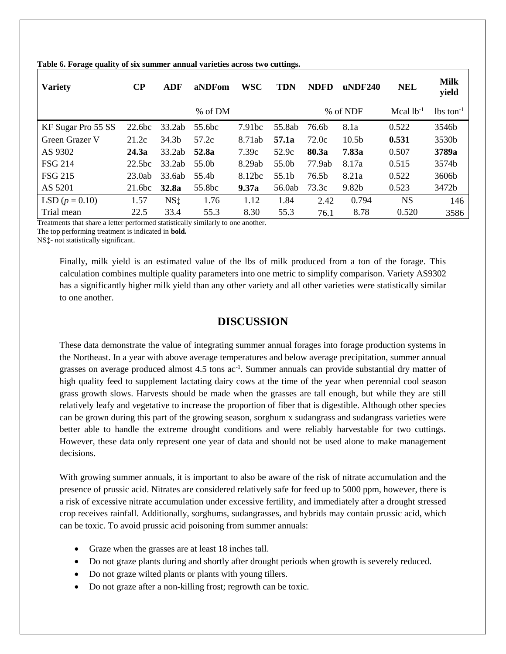| <b>Variety</b>     | $\bf CP$           | <b>ADF</b>        | aNDFom             | <b>WSC</b>         | <b>TDN</b> | <b>NDFD</b>       | $u$ NDF240        | <b>NEL</b>     | <b>Milk</b><br>yield    |
|--------------------|--------------------|-------------------|--------------------|--------------------|------------|-------------------|-------------------|----------------|-------------------------|
|                    |                    |                   | % of DM            |                    |            |                   | % of NDF          | Mcal $1b^{-1}$ | $lbs$ ton <sup>-1</sup> |
| KF Sugar Pro 55 SS | 22.6 <sub>bc</sub> | 33.2ab            | 55.6 <sub>bc</sub> | 7.91 <sub>bc</sub> | 55.8ab     | 76.6b             | 8.1a              | 0.522          | 3546b                   |
| Green Grazer V     | 21.2c              | 34.3 <sub>b</sub> | 57.2c              | 8.71ab             | 57.1a      | 72.0c             | 10.5 <sub>b</sub> | 0.531          | 3530b                   |
| AS 9302            | 24.3a              | 33.2ab            | 52.8a              | 7.39c              | 52.9c      | 80.3a             | 7.83a             | 0.507          | 3789a                   |
| <b>FSG 214</b>     | 22.5 <sub>bc</sub> | 33.2ab            | 55.0b              | 8.29ab             | 55.0b      | 77.9ab            | 8.17a             | 0.515          | 3574b                   |
| <b>FSG 215</b>     | 23.0ab             | 33.6ab            | 55.4b              | 8.12bc             | 55.1b      | 76.5 <sub>b</sub> | 8.21a             | 0.522          | 3606b                   |
| AS 5201            | 21.6 <sub>bc</sub> | 32.8a             | 55.8bc             | 9.37a              | 56.0ab     | 73.3c             | 9.82b             | 0.523          | 3472b                   |
| LSD $(p = 0.10)$   | 1.57               | NS <sub>1</sub>   | 1.76               | 1.12               | 1.84       | 2.42              | 0.794             | <b>NS</b>      | 146                     |
| Trial mean         | 22.5               | 33.4              | 55.3               | 8.30               | 55.3       | 76.1              | 8.78              | 0.520          | 3586                    |

**Table 6. Forage quality of six summer annual varieties across two cuttings.**

Treatments that share a letter performed statistically similarly to one another.

The top performing treatment is indicated in **bold.**

NS‡- not statistically significant.

Finally, milk yield is an estimated value of the lbs of milk produced from a ton of the forage. This calculation combines multiple quality parameters into one metric to simplify comparison. Variety AS9302 has a significantly higher milk yield than any other variety and all other varieties were statistically similar to one another.

# **DISCUSSION**

These data demonstrate the value of integrating summer annual forages into forage production systems in the Northeast. In a year with above average temperatures and below average precipitation, summer annual grasses on average produced almost 4.5 tons ac<sup>-1</sup>. Summer annuals can provide substantial dry matter of high quality feed to supplement lactating dairy cows at the time of the year when perennial cool season grass growth slows. Harvests should be made when the grasses are tall enough, but while they are still relatively leafy and vegetative to increase the proportion of fiber that is digestible. Although other species can be grown during this part of the growing season, sorghum x sudangrass and sudangrass varieties were better able to handle the extreme drought conditions and were reliably harvestable for two cuttings. However, these data only represent one year of data and should not be used alone to make management decisions.

With growing summer annuals, it is important to also be aware of the risk of nitrate accumulation and the presence of prussic acid. Nitrates are considered relatively safe for feed up to 5000 ppm, however, there is a risk of excessive nitrate accumulation under excessive fertility, and immediately after a drought stressed crop receives rainfall. Additionally, sorghums, sudangrasses, and hybrids may contain prussic acid, which can be toxic. To avoid prussic acid poisoning from summer annuals:

- Graze when the grasses are at least 18 inches tall.
- Do not graze plants during and shortly after drought periods when growth is severely reduced.
- Do not graze wilted plants or plants with young tillers.
- Do not graze after a non-killing frost; regrowth can be toxic.